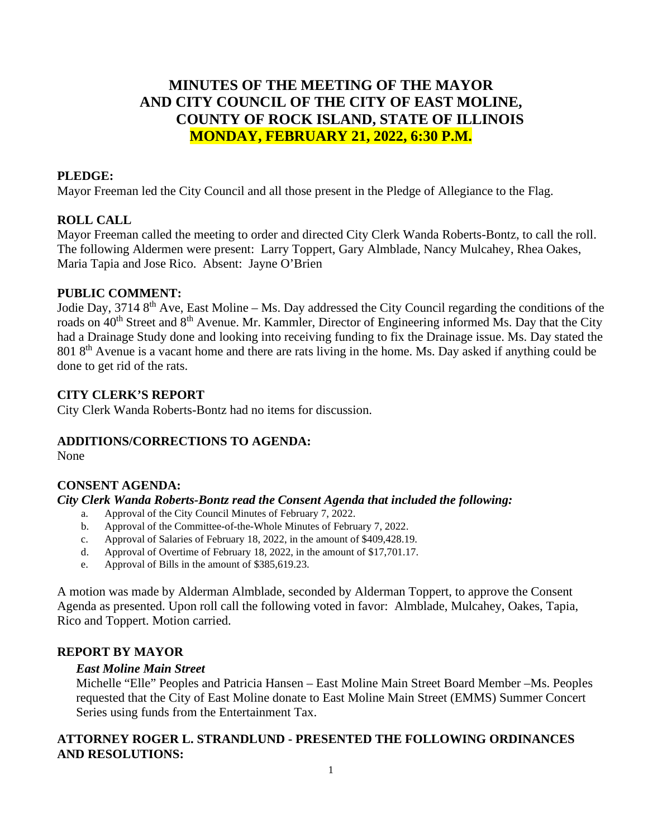# **MINUTES OF THE MEETING OF THE MAYOR AND CITY COUNCIL OF THE CITY OF EAST MOLINE, COUNTY OF ROCK ISLAND, STATE OF ILLINOIS MONDAY, FEBRUARY 21, 2022, 6:30 P.M.**

### **PLEDGE:**

Mayor Freeman led the City Council and all those present in the Pledge of Allegiance to the Flag.

### **ROLL CALL**

Mayor Freeman called the meeting to order and directed City Clerk Wanda Roberts-Bontz, to call the roll. The following Aldermen were present: Larry Toppert, Gary Almblade, Nancy Mulcahey, Rhea Oakes, Maria Tapia and Jose Rico. Absent: Jayne O'Brien

#### **PUBLIC COMMENT:**

Jodie Day, 3714 8th Ave, East Moline – Ms. Day addressed the City Council regarding the conditions of the roads on 40<sup>th</sup> Street and 8<sup>th</sup> Avenue. Mr. Kammler, Director of Engineering informed Ms. Day that the City had a Drainage Study done and looking into receiving funding to fix the Drainage issue. Ms. Day stated the 801 8<sup>th</sup> Avenue is a vacant home and there are rats living in the home. Ms. Day asked if anything could be done to get rid of the rats.

#### **CITY CLERK'S REPORT**

City Clerk Wanda Roberts-Bontz had no items for discussion.

#### **ADDITIONS/CORRECTIONS TO AGENDA:**

None

## **CONSENT AGENDA:**

#### *City Clerk Wanda Roberts-Bontz read the Consent Agenda that included the following:*

- a. Approval of the City Council Minutes of February 7, 2022.
- b. Approval of the Committee-of-the-Whole Minutes of February 7, 2022.
- c. Approval of Salaries of February 18, 2022, in the amount of \$409,428.19.
- d. Approval of Overtime of February 18, 2022, in the amount of \$17,701.17.
- e. Approval of Bills in the amount of \$385,619.23.

A motion was made by Alderman Almblade, seconded by Alderman Toppert, to approve the Consent Agenda as presented. Upon roll call the following voted in favor: Almblade, Mulcahey, Oakes, Tapia, Rico and Toppert. Motion carried.

### **REPORT BY MAYOR**

#### *East Moline Main Street*

Michelle "Elle" Peoples and Patricia Hansen – East Moline Main Street Board Member –Ms. Peoples requested that the City of East Moline donate to East Moline Main Street (EMMS) Summer Concert Series using funds from the Entertainment Tax.

## **ATTORNEY ROGER L. STRANDLUND - PRESENTED THE FOLLOWING ORDINANCES AND RESOLUTIONS:**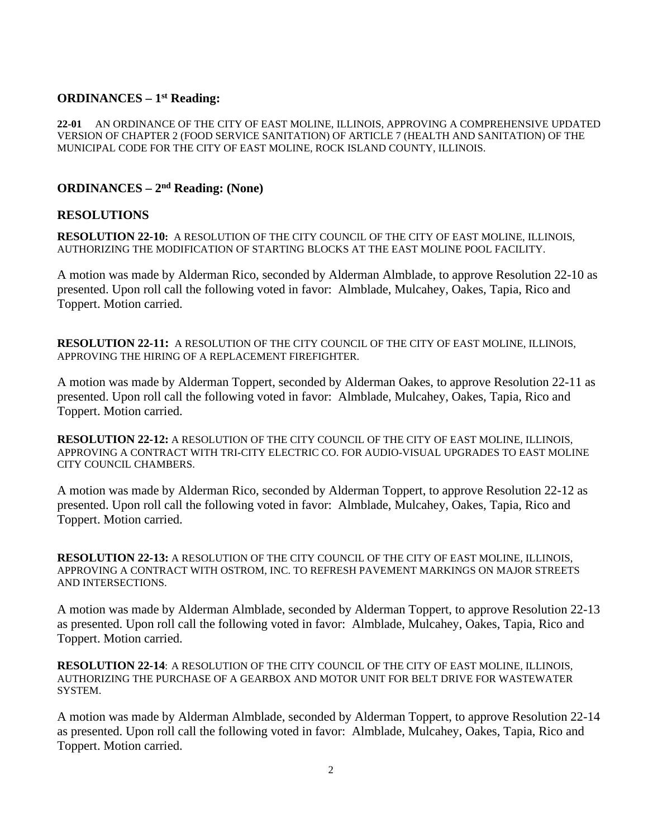## **ORDINANCES – 1st Reading:**

**22-01** AN ORDINANCE OF THE CITY OF EAST MOLINE, ILLINOIS, APPROVING A COMPREHENSIVE UPDATED VERSION OF CHAPTER 2 (FOOD SERVICE SANITATION) OF ARTICLE 7 (HEALTH AND SANITATION) OF THE MUNICIPAL CODE FOR THE CITY OF EAST MOLINE, ROCK ISLAND COUNTY, ILLINOIS.

## **ORDINANCES – 2nd Reading: (None)**

#### **RESOLUTIONS**

**RESOLUTION 22-10:** A RESOLUTION OF THE CITY COUNCIL OF THE CITY OF EAST MOLINE, ILLINOIS, AUTHORIZING THE MODIFICATION OF STARTING BLOCKS AT THE EAST MOLINE POOL FACILITY.

A motion was made by Alderman Rico, seconded by Alderman Almblade, to approve Resolution 22-10 as presented. Upon roll call the following voted in favor: Almblade, Mulcahey, Oakes, Tapia, Rico and Toppert. Motion carried.

**RESOLUTION 22-11:** A RESOLUTION OF THE CITY COUNCIL OF THE CITY OF EAST MOLINE, ILLINOIS, APPROVING THE HIRING OF A REPLACEMENT FIREFIGHTER.

A motion was made by Alderman Toppert, seconded by Alderman Oakes, to approve Resolution 22-11 as presented. Upon roll call the following voted in favor: Almblade, Mulcahey, Oakes, Tapia, Rico and Toppert. Motion carried.

**RESOLUTION 22-12:** A RESOLUTION OF THE CITY COUNCIL OF THE CITY OF EAST MOLINE, ILLINOIS, APPROVING A CONTRACT WITH TRI-CITY ELECTRIC CO. FOR AUDIO-VISUAL UPGRADES TO EAST MOLINE CITY COUNCIL CHAMBERS.

A motion was made by Alderman Rico, seconded by Alderman Toppert, to approve Resolution 22-12 as presented. Upon roll call the following voted in favor: Almblade, Mulcahey, Oakes, Tapia, Rico and Toppert. Motion carried.

**RESOLUTION 22-13:** A RESOLUTION OF THE CITY COUNCIL OF THE CITY OF EAST MOLINE, ILLINOIS, APPROVING A CONTRACT WITH OSTROM, INC. TO REFRESH PAVEMENT MARKINGS ON MAJOR STREETS AND INTERSECTIONS.

A motion was made by Alderman Almblade, seconded by Alderman Toppert, to approve Resolution 22-13 as presented. Upon roll call the following voted in favor: Almblade, Mulcahey, Oakes, Tapia, Rico and Toppert. Motion carried.

**RESOLUTION 22-14**: A RESOLUTION OF THE CITY COUNCIL OF THE CITY OF EAST MOLINE, ILLINOIS, AUTHORIZING THE PURCHASE OF A GEARBOX AND MOTOR UNIT FOR BELT DRIVE FOR WASTEWATER SYSTEM.

A motion was made by Alderman Almblade, seconded by Alderman Toppert, to approve Resolution 22-14 as presented. Upon roll call the following voted in favor: Almblade, Mulcahey, Oakes, Tapia, Rico and Toppert. Motion carried.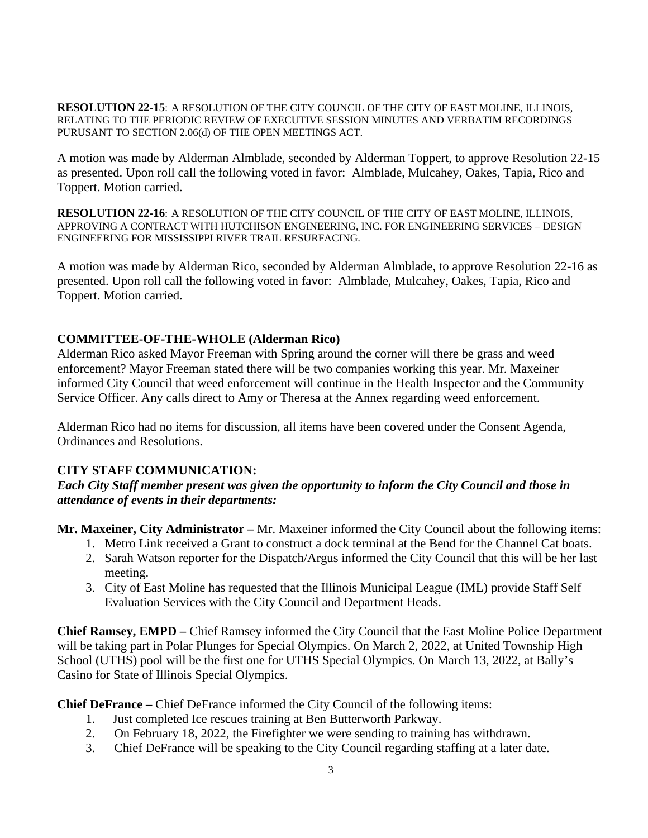**RESOLUTION 22-15**: A RESOLUTION OF THE CITY COUNCIL OF THE CITY OF EAST MOLINE, ILLINOIS, RELATING TO THE PERIODIC REVIEW OF EXECUTIVE SESSION MINUTES AND VERBATIM RECORDINGS PURUSANT TO SECTION 2.06(d) OF THE OPEN MEETINGS ACT.

A motion was made by Alderman Almblade, seconded by Alderman Toppert, to approve Resolution 22-15 as presented. Upon roll call the following voted in favor: Almblade, Mulcahey, Oakes, Tapia, Rico and Toppert. Motion carried.

**RESOLUTION 22-16**: A RESOLUTION OF THE CITY COUNCIL OF THE CITY OF EAST MOLINE, ILLINOIS, APPROVING A CONTRACT WITH HUTCHISON ENGINEERING, INC. FOR ENGINEERING SERVICES – DESIGN ENGINEERING FOR MISSISSIPPI RIVER TRAIL RESURFACING.

A motion was made by Alderman Rico, seconded by Alderman Almblade, to approve Resolution 22-16 as presented. Upon roll call the following voted in favor: Almblade, Mulcahey, Oakes, Tapia, Rico and Toppert. Motion carried.

## **COMMITTEE-OF-THE-WHOLE (Alderman Rico)**

Alderman Rico asked Mayor Freeman with Spring around the corner will there be grass and weed enforcement? Mayor Freeman stated there will be two companies working this year. Mr. Maxeiner informed City Council that weed enforcement will continue in the Health Inspector and the Community Service Officer. Any calls direct to Amy or Theresa at the Annex regarding weed enforcement.

Alderman Rico had no items for discussion, all items have been covered under the Consent Agenda, Ordinances and Resolutions.

## **CITY STAFF COMMUNICATION:**

*Each City Staff member present was given the opportunity to inform the City Council and those in attendance of events in their departments:* 

**Mr. Maxeiner, City Administrator –** Mr. Maxeiner informed the City Council about the following items:

- 1. Metro Link received a Grant to construct a dock terminal at the Bend for the Channel Cat boats.
- 2. Sarah Watson reporter for the Dispatch/Argus informed the City Council that this will be her last meeting.
- 3. City of East Moline has requested that the Illinois Municipal League (IML) provide Staff Self Evaluation Services with the City Council and Department Heads.

**Chief Ramsey, EMPD –** Chief Ramsey informed the City Council that the East Moline Police Department will be taking part in Polar Plunges for Special Olympics. On March 2, 2022, at United Township High School (UTHS) pool will be the first one for UTHS Special Olympics. On March 13, 2022, at Bally's Casino for State of Illinois Special Olympics.

**Chief DeFrance –** Chief DeFrance informed the City Council of the following items:

- 1. Just completed Ice rescues training at Ben Butterworth Parkway.
- 2. On February 18, 2022, the Firefighter we were sending to training has withdrawn.
- 3. Chief DeFrance will be speaking to the City Council regarding staffing at a later date.